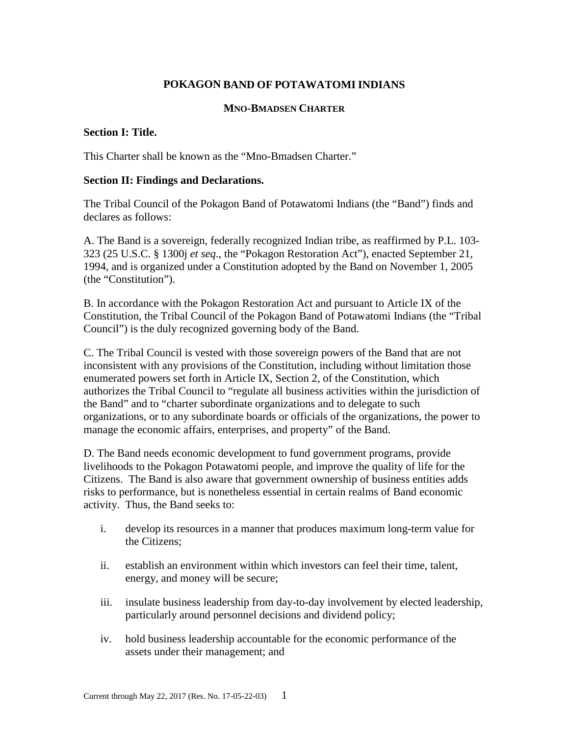# **POKAGON BAND OF POTAWATOMI INDIANS**

#### **MNO-BMADSEN CHARTER**

### **Section I: Title.**

This Charter shall be known as the "Mno-Bmadsen Charter."

#### **Section II: Findings and Declarations.**

The Tribal Council of the Pokagon Band of Potawatomi Indians (the "Band") finds and declares as follows:

A. The Band is a sovereign, federally recognized Indian tribe, as reaffirmed by P.L. 103- 323 (25 U.S.C. § 1300j *et seq*., the "Pokagon Restoration Act"), enacted September 21, 1994, and is organized under a Constitution adopted by the Band on November 1, 2005 (the "Constitution").

B. In accordance with the Pokagon Restoration Act and pursuant to Article IX of the Constitution, the Tribal Council of the Pokagon Band of Potawatomi Indians (the "Tribal Council") is the duly recognized governing body of the Band.

C. The Tribal Council is vested with those sovereign powers of the Band that are not inconsistent with any provisions of the Constitution, including without limitation those enumerated powers set forth in Article IX, Section 2, of the Constitution, which authorizes the Tribal Council to "regulate all business activities within the jurisdiction of the Band" and to "charter subordinate organizations and to delegate to such organizations, or to any subordinate boards or officials of the organizations, the power to manage the economic affairs, enterprises, and property" of the Band.

D. The Band needs economic development to fund government programs, provide livelihoods to the Pokagon Potawatomi people, and improve the quality of life for the Citizens. The Band is also aware that government ownership of business entities adds risks to performance, but is nonetheless essential in certain realms of Band economic activity. Thus, the Band seeks to:

- i. develop its resources in a manner that produces maximum long-term value for the Citizens;
- ii. establish an environment within which investors can feel their time, talent, energy, and money will be secure;
- iii. insulate business leadership from day-to-day involvement by elected leadership, particularly around personnel decisions and dividend policy;
- iv. hold business leadership accountable for the economic performance of the assets under their management; and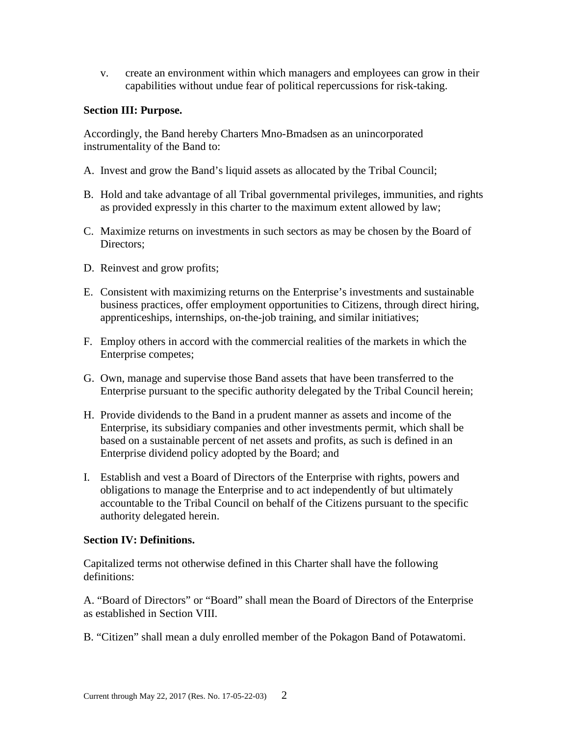v. create an environment within which managers and employees can grow in their capabilities without undue fear of political repercussions for risk-taking.

# **Section III: Purpose.**

Accordingly, the Band hereby Charters Mno-Bmadsen as an unincorporated instrumentality of the Band to:

- A. Invest and grow the Band's liquid assets as allocated by the Tribal Council;
- B. Hold and take advantage of all Tribal governmental privileges, immunities, and rights as provided expressly in this charter to the maximum extent allowed by law;
- C. Maximize returns on investments in such sectors as may be chosen by the Board of Directors;
- D. Reinvest and grow profits;
- E. Consistent with maximizing returns on the Enterprise's investments and sustainable business practices, offer employment opportunities to Citizens, through direct hiring, apprenticeships, internships, on-the-job training, and similar initiatives;
- F. Employ others in accord with the commercial realities of the markets in which the Enterprise competes;
- G. Own, manage and supervise those Band assets that have been transferred to the Enterprise pursuant to the specific authority delegated by the Tribal Council herein;
- H. Provide dividends to the Band in a prudent manner as assets and income of the Enterprise, its subsidiary companies and other investments permit, which shall be based on a sustainable percent of net assets and profits, as such is defined in an Enterprise dividend policy adopted by the Board; and
- I. Establish and vest a Board of Directors of the Enterprise with rights, powers and obligations to manage the Enterprise and to act independently of but ultimately accountable to the Tribal Council on behalf of the Citizens pursuant to the specific authority delegated herein.

### **Section IV: Definitions.**

Capitalized terms not otherwise defined in this Charter shall have the following definitions:

A. "Board of Directors" or "Board" shall mean the Board of Directors of the Enterprise as established in Section VIII.

B. "Citizen" shall mean a duly enrolled member of the Pokagon Band of Potawatomi.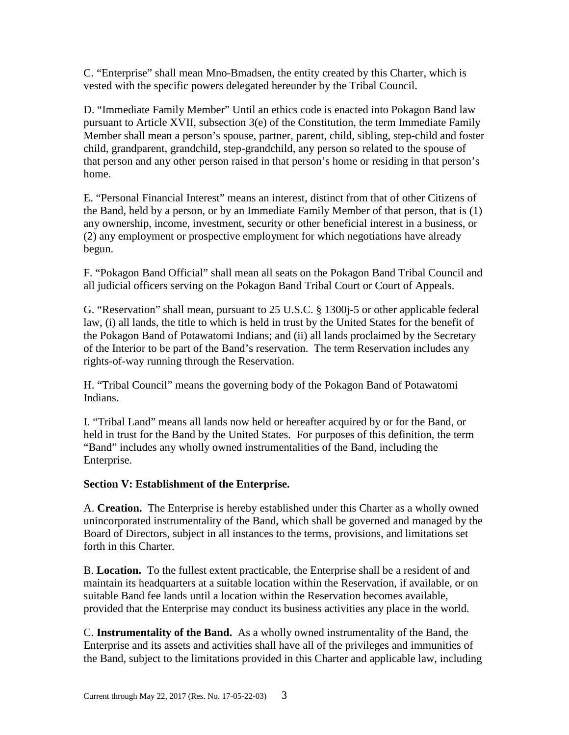C. "Enterprise" shall mean Mno-Bmadsen, the entity created by this Charter, which is vested with the specific powers delegated hereunder by the Tribal Council.

D. "Immediate Family Member" Until an ethics code is enacted into Pokagon Band law pursuant to Article XVII, subsection 3(e) of the Constitution, the term Immediate Family Member shall mean a person's spouse, partner, parent, child, sibling, step-child and foster child, grandparent, grandchild, step-grandchild, any person so related to the spouse of that person and any other person raised in that person's home or residing in that person's home.

E. "Personal Financial Interest" means an interest, distinct from that of other Citizens of the Band, held by a person, or by an Immediate Family Member of that person, that is (1) any ownership, income, investment, security or other beneficial interest in a business, or (2) any employment or prospective employment for which negotiations have already begun.

F. "Pokagon Band Official" shall mean all seats on the Pokagon Band Tribal Council and all judicial officers serving on the Pokagon Band Tribal Court or Court of Appeals.

G. "Reservation" shall mean, pursuant to 25 U.S.C. § 1300j-5 or other applicable federal law, (i) all lands, the title to which is held in trust by the United States for the benefit of the Pokagon Band of Potawatomi Indians; and (ii) all lands proclaimed by the Secretary of the Interior to be part of the Band's reservation. The term Reservation includes any rights-of-way running through the Reservation.

H. "Tribal Council" means the governing body of the Pokagon Band of Potawatomi Indians.

I. "Tribal Land" means all lands now held or hereafter acquired by or for the Band, or held in trust for the Band by the United States. For purposes of this definition, the term "Band" includes any wholly owned instrumentalities of the Band, including the Enterprise.

# **Section V: Establishment of the Enterprise.**

A. **Creation.** The Enterprise is hereby established under this Charter as a wholly owned unincorporated instrumentality of the Band, which shall be governed and managed by the Board of Directors, subject in all instances to the terms, provisions, and limitations set forth in this Charter.

B. **Location.** To the fullest extent practicable, the Enterprise shall be a resident of and maintain its headquarters at a suitable location within the Reservation, if available, or on suitable Band fee lands until a location within the Reservation becomes available, provided that the Enterprise may conduct its business activities any place in the world.

C. **Instrumentality of the Band.** As a wholly owned instrumentality of the Band, the Enterprise and its assets and activities shall have all of the privileges and immunities of the Band, subject to the limitations provided in this Charter and applicable law, including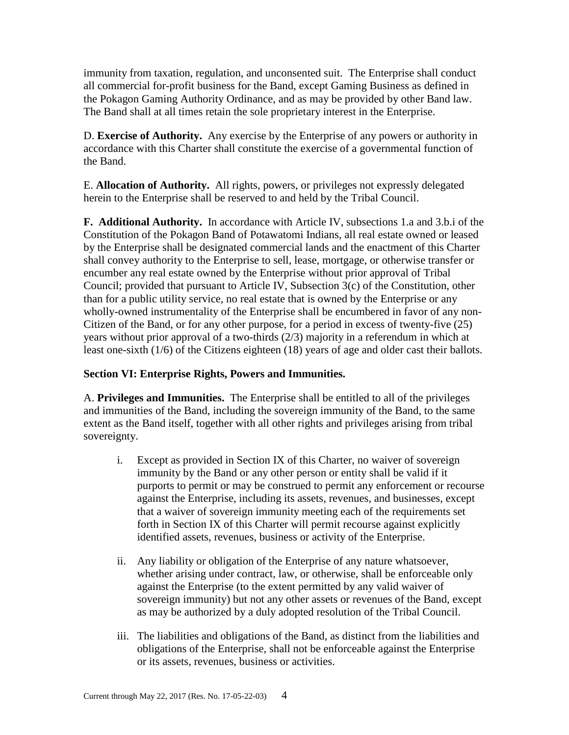immunity from taxation, regulation, and unconsented suit. The Enterprise shall conduct all commercial for-profit business for the Band, except Gaming Business as defined in the Pokagon Gaming Authority Ordinance, and as may be provided by other Band law. The Band shall at all times retain the sole proprietary interest in the Enterprise.

D. **Exercise of Authority.** Any exercise by the Enterprise of any powers or authority in accordance with this Charter shall constitute the exercise of a governmental function of the Band.

E. **Allocation of Authority.** All rights, powers, or privileges not expressly delegated herein to the Enterprise shall be reserved to and held by the Tribal Council.

**F. Additional Authority.** In accordance with Article IV, subsections 1.a and 3.b.i of the Constitution of the Pokagon Band of Potawatomi Indians, all real estate owned or leased by the Enterprise shall be designated commercial lands and the enactment of this Charter shall convey authority to the Enterprise to sell, lease, mortgage, or otherwise transfer or encumber any real estate owned by the Enterprise without prior approval of Tribal Council; provided that pursuant to Article IV, Subsection 3(c) of the Constitution, other than for a public utility service, no real estate that is owned by the Enterprise or any wholly-owned instrumentality of the Enterprise shall be encumbered in favor of any non-Citizen of the Band, or for any other purpose, for a period in excess of twenty-five (25) years without prior approval of a two-thirds (2/3) majority in a referendum in which at least one-sixth (1/6) of the Citizens eighteen (18) years of age and older cast their ballots.

# **Section VI: Enterprise Rights, Powers and Immunities.**

A. **Privileges and Immunities.** The Enterprise shall be entitled to all of the privileges and immunities of the Band, including the sovereign immunity of the Band, to the same extent as the Band itself, together with all other rights and privileges arising from tribal sovereignty.

- i. Except as provided in Section IX of this Charter, no waiver of sovereign immunity by the Band or any other person or entity shall be valid if it purports to permit or may be construed to permit any enforcement or recourse against the Enterprise, including its assets, revenues, and businesses, except that a waiver of sovereign immunity meeting each of the requirements set forth in Section IX of this Charter will permit recourse against explicitly identified assets, revenues, business or activity of the Enterprise.
- ii. Any liability or obligation of the Enterprise of any nature whatsoever, whether arising under contract, law, or otherwise, shall be enforceable only against the Enterprise (to the extent permitted by any valid waiver of sovereign immunity) but not any other assets or revenues of the Band, except as may be authorized by a duly adopted resolution of the Tribal Council.
- iii. The liabilities and obligations of the Band, as distinct from the liabilities and obligations of the Enterprise, shall not be enforceable against the Enterprise or its assets, revenues, business or activities.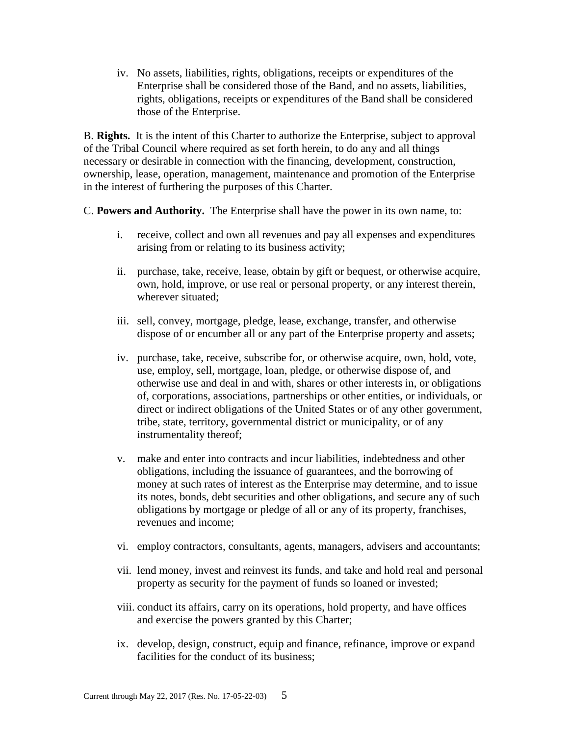iv. No assets, liabilities, rights, obligations, receipts or expenditures of the Enterprise shall be considered those of the Band, and no assets, liabilities, rights, obligations, receipts or expenditures of the Band shall be considered those of the Enterprise.

B. **Rights.** It is the intent of this Charter to authorize the Enterprise, subject to approval of the Tribal Council where required as set forth herein, to do any and all things necessary or desirable in connection with the financing, development, construction, ownership, lease, operation, management, maintenance and promotion of the Enterprise in the interest of furthering the purposes of this Charter.

C. **Powers and Authority.** The Enterprise shall have the power in its own name, to:

- i. receive, collect and own all revenues and pay all expenses and expenditures arising from or relating to its business activity;
- ii. purchase, take, receive, lease, obtain by gift or bequest, or otherwise acquire, own, hold, improve, or use real or personal property, or any interest therein, wherever situated;
- iii. sell, convey, mortgage, pledge, lease, exchange, transfer, and otherwise dispose of or encumber all or any part of the Enterprise property and assets;
- iv. purchase, take, receive, subscribe for, or otherwise acquire, own, hold, vote, use, employ, sell, mortgage, loan, pledge, or otherwise dispose of, and otherwise use and deal in and with, shares or other interests in, or obligations of, corporations, associations, partnerships or other entities, or individuals, or direct or indirect obligations of the United States or of any other government, tribe, state, territory, governmental district or municipality, or of any instrumentality thereof;
- v. make and enter into contracts and incur liabilities, indebtedness and other obligations, including the issuance of guarantees, and the borrowing of money at such rates of interest as the Enterprise may determine, and to issue its notes, bonds, debt securities and other obligations, and secure any of such obligations by mortgage or pledge of all or any of its property, franchises, revenues and income;
- vi. employ contractors, consultants, agents, managers, advisers and accountants;
- vii. lend money, invest and reinvest its funds, and take and hold real and personal property as security for the payment of funds so loaned or invested;
- viii. conduct its affairs, carry on its operations, hold property, and have offices and exercise the powers granted by this Charter;
- ix. develop, design, construct, equip and finance, refinance, improve or expand facilities for the conduct of its business;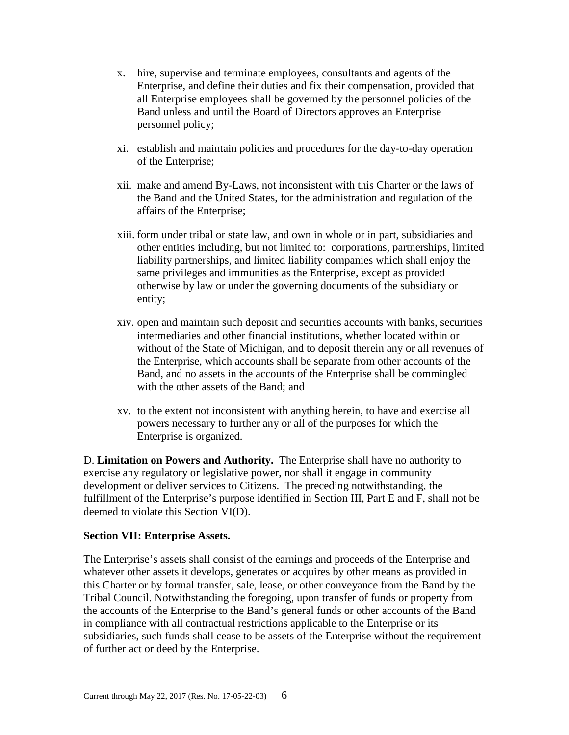- x. hire, supervise and terminate employees, consultants and agents of the Enterprise, and define their duties and fix their compensation, provided that all Enterprise employees shall be governed by the personnel policies of the Band unless and until the Board of Directors approves an Enterprise personnel policy;
- xi. establish and maintain policies and procedures for the day-to-day operation of the Enterprise;
- xii. make and amend By-Laws, not inconsistent with this Charter or the laws of the Band and the United States, for the administration and regulation of the affairs of the Enterprise;
- xiii. form under tribal or state law, and own in whole or in part, subsidiaries and other entities including, but not limited to: corporations, partnerships, limited liability partnerships, and limited liability companies which shall enjoy the same privileges and immunities as the Enterprise, except as provided otherwise by law or under the governing documents of the subsidiary or entity;
- xiv. open and maintain such deposit and securities accounts with banks, securities intermediaries and other financial institutions, whether located within or without of the State of Michigan, and to deposit therein any or all revenues of the Enterprise, which accounts shall be separate from other accounts of the Band, and no assets in the accounts of the Enterprise shall be commingled with the other assets of the Band; and
- xv. to the extent not inconsistent with anything herein, to have and exercise all powers necessary to further any or all of the purposes for which the Enterprise is organized.

D. **Limitation on Powers and Authority.** The Enterprise shall have no authority to exercise any regulatory or legislative power, nor shall it engage in community development or deliver services to Citizens. The preceding notwithstanding, the fulfillment of the Enterprise's purpose identified in Section III, Part E and F, shall not be deemed to violate this Section VI(D).

### **Section VII: Enterprise Assets.**

The Enterprise's assets shall consist of the earnings and proceeds of the Enterprise and whatever other assets it develops, generates or acquires by other means as provided in this Charter or by formal transfer, sale, lease, or other conveyance from the Band by the Tribal Council. Notwithstanding the foregoing, upon transfer of funds or property from the accounts of the Enterprise to the Band's general funds or other accounts of the Band in compliance with all contractual restrictions applicable to the Enterprise or its subsidiaries, such funds shall cease to be assets of the Enterprise without the requirement of further act or deed by the Enterprise.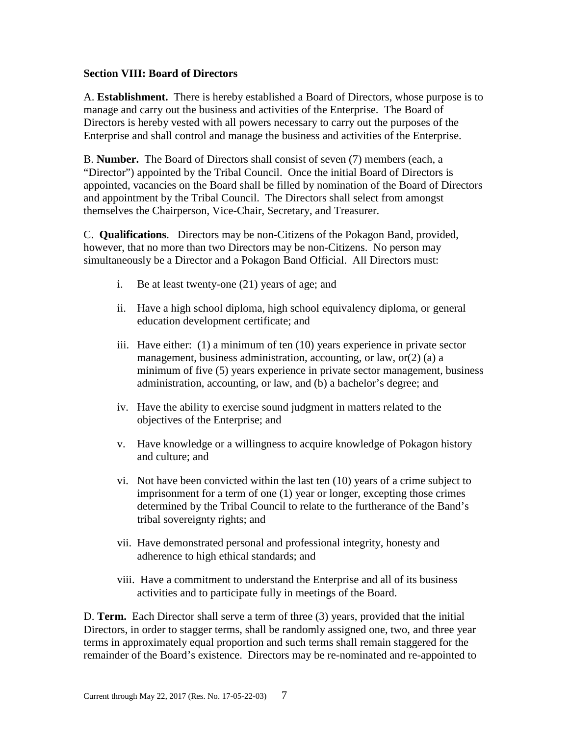### **Section VIII: Board of Directors**

A. **Establishment.** There is hereby established a Board of Directors, whose purpose is to manage and carry out the business and activities of the Enterprise. The Board of Directors is hereby vested with all powers necessary to carry out the purposes of the Enterprise and shall control and manage the business and activities of the Enterprise.

B. **Number.** The Board of Directors shall consist of seven (7) members (each, a "Director") appointed by the Tribal Council. Once the initial Board of Directors is appointed, vacancies on the Board shall be filled by nomination of the Board of Directors and appointment by the Tribal Council. The Directors shall select from amongst themselves the Chairperson, Vice-Chair, Secretary, and Treasurer.

C. **Qualifications**. Directors may be non-Citizens of the Pokagon Band, provided, however, that no more than two Directors may be non-Citizens. No person may simultaneously be a Director and a Pokagon Band Official. All Directors must:

- i. Be at least twenty-one (21) years of age; and
- ii. Have a high school diploma, high school equivalency diploma, or general education development certificate; and
- iii. Have either: (1) a minimum of ten (10) years experience in private sector management, business administration, accounting, or law, or(2) (a) a minimum of five (5) years experience in private sector management, business administration, accounting, or law, and (b) a bachelor's degree; and
- iv. Have the ability to exercise sound judgment in matters related to the objectives of the Enterprise; and
- v. Have knowledge or a willingness to acquire knowledge of Pokagon history and culture; and
- vi. Not have been convicted within the last ten (10) years of a crime subject to imprisonment for a term of one (1) year or longer, excepting those crimes determined by the Tribal Council to relate to the furtherance of the Band's tribal sovereignty rights; and
- vii. Have demonstrated personal and professional integrity, honesty and adherence to high ethical standards; and
- viii. Have a commitment to understand the Enterprise and all of its business activities and to participate fully in meetings of the Board.

D. **Term.** Each Director shall serve a term of three (3) years, provided that the initial Directors, in order to stagger terms, shall be randomly assigned one, two, and three year terms in approximately equal proportion and such terms shall remain staggered for the remainder of the Board's existence. Directors may be re-nominated and re-appointed to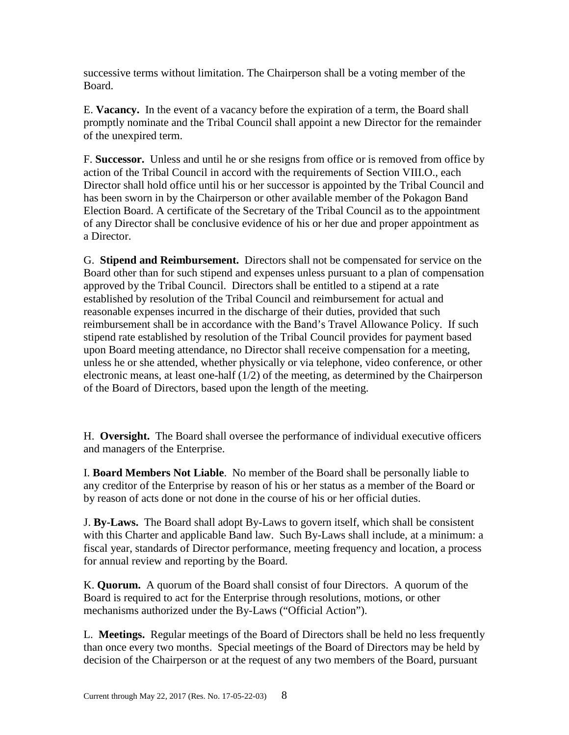successive terms without limitation. The Chairperson shall be a voting member of the Board.

E. **Vacancy.** In the event of a vacancy before the expiration of a term, the Board shall promptly nominate and the Tribal Council shall appoint a new Director for the remainder of the unexpired term.

F. **Successor.** Unless and until he or she resigns from office or is removed from office by action of the Tribal Council in accord with the requirements of Section VIII.O., each Director shall hold office until his or her successor is appointed by the Tribal Council and has been sworn in by the Chairperson or other available member of the Pokagon Band Election Board. A certificate of the Secretary of the Tribal Council as to the appointment of any Director shall be conclusive evidence of his or her due and proper appointment as a Director.

G. **Stipend and Reimbursement.** Directors shall not be compensated for service on the Board other than for such stipend and expenses unless pursuant to a plan of compensation approved by the Tribal Council. Directors shall be entitled to a stipend at a rate established by resolution of the Tribal Council and reimbursement for actual and reasonable expenses incurred in the discharge of their duties, provided that such reimbursement shall be in accordance with the Band's Travel Allowance Policy. If such stipend rate established by resolution of the Tribal Council provides for payment based upon Board meeting attendance, no Director shall receive compensation for a meeting, unless he or she attended, whether physically or via telephone, video conference, or other electronic means, at least one-half (1/2) of the meeting, as determined by the Chairperson of the Board of Directors, based upon the length of the meeting.

H. **Oversight.** The Board shall oversee the performance of individual executive officers and managers of the Enterprise.

I. **Board Members Not Liable**. No member of the Board shall be personally liable to any creditor of the Enterprise by reason of his or her status as a member of the Board or by reason of acts done or not done in the course of his or her official duties.

J. **By-Laws.** The Board shall adopt By-Laws to govern itself, which shall be consistent with this Charter and applicable Band law. Such By-Laws shall include, at a minimum: a fiscal year, standards of Director performance, meeting frequency and location, a process for annual review and reporting by the Board.

K. **Quorum.** A quorum of the Board shall consist of four Directors. A quorum of the Board is required to act for the Enterprise through resolutions, motions, or other mechanisms authorized under the By-Laws ("Official Action").

L. **Meetings.** Regular meetings of the Board of Directors shall be held no less frequently than once every two months. Special meetings of the Board of Directors may be held by decision of the Chairperson or at the request of any two members of the Board, pursuant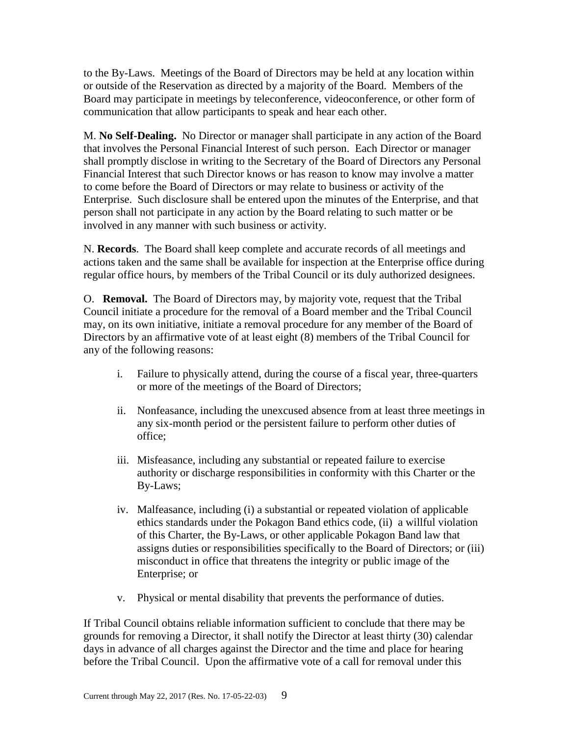to the By-Laws. Meetings of the Board of Directors may be held at any location within or outside of the Reservation as directed by a majority of the Board. Members of the Board may participate in meetings by teleconference, videoconference, or other form of communication that allow participants to speak and hear each other.

M. **No Self-Dealing.** No Director or manager shall participate in any action of the Board that involves the Personal Financial Interest of such person. Each Director or manager shall promptly disclose in writing to the Secretary of the Board of Directors any Personal Financial Interest that such Director knows or has reason to know may involve a matter to come before the Board of Directors or may relate to business or activity of the Enterprise. Such disclosure shall be entered upon the minutes of the Enterprise, and that person shall not participate in any action by the Board relating to such matter or be involved in any manner with such business or activity.

N. **Records**. The Board shall keep complete and accurate records of all meetings and actions taken and the same shall be available for inspection at the Enterprise office during regular office hours, by members of the Tribal Council or its duly authorized designees.

O. **Removal.** The Board of Directors may, by majority vote, request that the Tribal Council initiate a procedure for the removal of a Board member and the Tribal Council may, on its own initiative, initiate a removal procedure for any member of the Board of Directors by an affirmative vote of at least eight (8) members of the Tribal Council for any of the following reasons:

- i. Failure to physically attend, during the course of a fiscal year, three-quarters or more of the meetings of the Board of Directors;
- ii. Nonfeasance, including the unexcused absence from at least three meetings in any six-month period or the persistent failure to perform other duties of office;
- iii. Misfeasance, including any substantial or repeated failure to exercise authority or discharge responsibilities in conformity with this Charter or the By-Laws;
- iv. Malfeasance, including (i) a substantial or repeated violation of applicable ethics standards under the Pokagon Band ethics code, (ii) a willful violation of this Charter, the By-Laws, or other applicable Pokagon Band law that assigns duties or responsibilities specifically to the Board of Directors; or (iii) misconduct in office that threatens the integrity or public image of the Enterprise; or
- v. Physical or mental disability that prevents the performance of duties.

If Tribal Council obtains reliable information sufficient to conclude that there may be grounds for removing a Director, it shall notify the Director at least thirty (30) calendar days in advance of all charges against the Director and the time and place for hearing before the Tribal Council. Upon the affirmative vote of a call for removal under this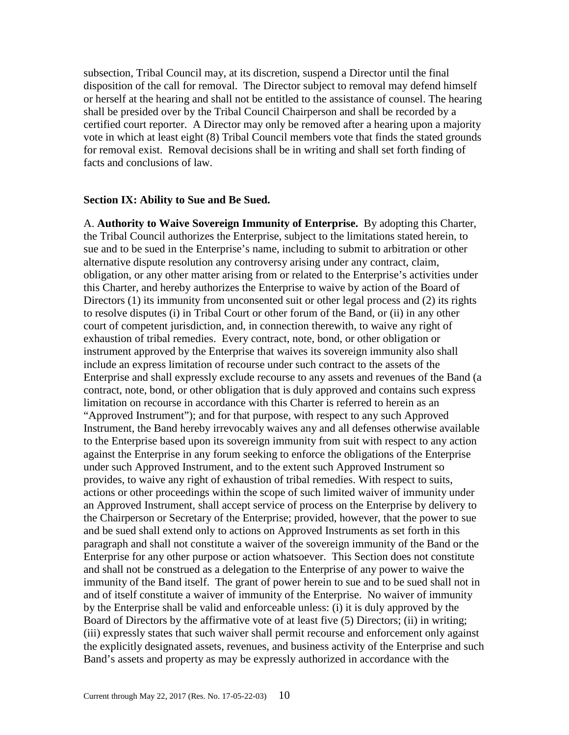subsection, Tribal Council may, at its discretion, suspend a Director until the final disposition of the call for removal. The Director subject to removal may defend himself or herself at the hearing and shall not be entitled to the assistance of counsel. The hearing shall be presided over by the Tribal Council Chairperson and shall be recorded by a certified court reporter. A Director may only be removed after a hearing upon a majority vote in which at least eight (8) Tribal Council members vote that finds the stated grounds for removal exist. Removal decisions shall be in writing and shall set forth finding of facts and conclusions of law.

#### **Section IX: Ability to Sue and Be Sued.**

A. **Authority to Waive Sovereign Immunity of Enterprise.** By adopting this Charter, the Tribal Council authorizes the Enterprise, subject to the limitations stated herein, to sue and to be sued in the Enterprise's name, including to submit to arbitration or other alternative dispute resolution any controversy arising under any contract, claim, obligation, or any other matter arising from or related to the Enterprise's activities under this Charter, and hereby authorizes the Enterprise to waive by action of the Board of Directors (1) its immunity from unconsented suit or other legal process and (2) its rights to resolve disputes (i) in Tribal Court or other forum of the Band, or (ii) in any other court of competent jurisdiction, and, in connection therewith, to waive any right of exhaustion of tribal remedies. Every contract, note, bond, or other obligation or instrument approved by the Enterprise that waives its sovereign immunity also shall include an express limitation of recourse under such contract to the assets of the Enterprise and shall expressly exclude recourse to any assets and revenues of the Band (a contract, note, bond, or other obligation that is duly approved and contains such express limitation on recourse in accordance with this Charter is referred to herein as an "Approved Instrument"); and for that purpose, with respect to any such Approved Instrument, the Band hereby irrevocably waives any and all defenses otherwise available to the Enterprise based upon its sovereign immunity from suit with respect to any action against the Enterprise in any forum seeking to enforce the obligations of the Enterprise under such Approved Instrument, and to the extent such Approved Instrument so provides, to waive any right of exhaustion of tribal remedies. With respect to suits, actions or other proceedings within the scope of such limited waiver of immunity under an Approved Instrument, shall accept service of process on the Enterprise by delivery to the Chairperson or Secretary of the Enterprise; provided, however, that the power to sue and be sued shall extend only to actions on Approved Instruments as set forth in this paragraph and shall not constitute a waiver of the sovereign immunity of the Band or the Enterprise for any other purpose or action whatsoever. This Section does not constitute and shall not be construed as a delegation to the Enterprise of any power to waive the immunity of the Band itself. The grant of power herein to sue and to be sued shall not in and of itself constitute a waiver of immunity of the Enterprise. No waiver of immunity by the Enterprise shall be valid and enforceable unless: (i) it is duly approved by the Board of Directors by the affirmative vote of at least five (5) Directors; (ii) in writing; (iii) expressly states that such waiver shall permit recourse and enforcement only against the explicitly designated assets, revenues, and business activity of the Enterprise and such Band's assets and property as may be expressly authorized in accordance with the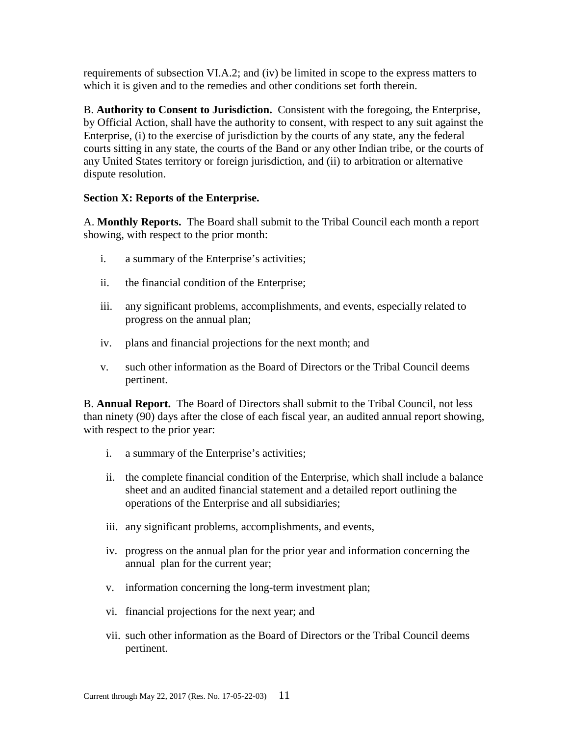requirements of subsection VI.A.2; and (iv) be limited in scope to the express matters to which it is given and to the remedies and other conditions set forth therein.

B. **Authority to Consent to Jurisdiction.** Consistent with the foregoing, the Enterprise, by Official Action, shall have the authority to consent, with respect to any suit against the Enterprise, (i) to the exercise of jurisdiction by the courts of any state, any the federal courts sitting in any state, the courts of the Band or any other Indian tribe, or the courts of any United States territory or foreign jurisdiction, and (ii) to arbitration or alternative dispute resolution.

# **Section X: Reports of the Enterprise.**

A. **Monthly Reports.** The Board shall submit to the Tribal Council each month a report showing, with respect to the prior month:

- i. a summary of the Enterprise's activities;
- ii. the financial condition of the Enterprise;
- iii. any significant problems, accomplishments, and events, especially related to progress on the annual plan;
- iv. plans and financial projections for the next month; and
- v. such other information as the Board of Directors or the Tribal Council deems pertinent.

B. **Annual Report.** The Board of Directors shall submit to the Tribal Council, not less than ninety (90) days after the close of each fiscal year, an audited annual report showing, with respect to the prior year:

- i. a summary of the Enterprise's activities;
- ii. the complete financial condition of the Enterprise, which shall include a balance sheet and an audited financial statement and a detailed report outlining the operations of the Enterprise and all subsidiaries;
- iii. any significant problems, accomplishments, and events,
- iv. progress on the annual plan for the prior year and information concerning the annual plan for the current year;
- v. information concerning the long-term investment plan;
- vi. financial projections for the next year; and
- vii. such other information as the Board of Directors or the Tribal Council deems pertinent.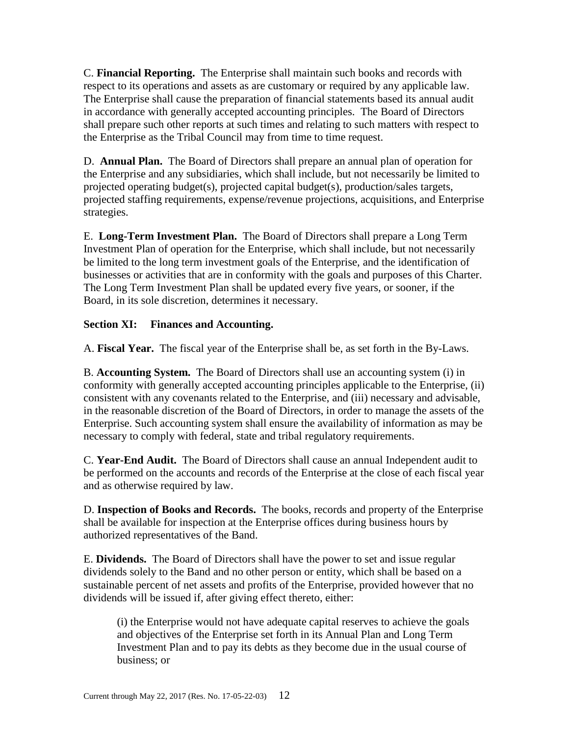C. **Financial Reporting.** The Enterprise shall maintain such books and records with respect to its operations and assets as are customary or required by any applicable law. The Enterprise shall cause the preparation of financial statements based its annual audit in accordance with generally accepted accounting principles. The Board of Directors shall prepare such other reports at such times and relating to such matters with respect to the Enterprise as the Tribal Council may from time to time request.

D. **Annual Plan.** The Board of Directors shall prepare an annual plan of operation for the Enterprise and any subsidiaries, which shall include, but not necessarily be limited to projected operating budget(s), projected capital budget(s), production/sales targets, projected staffing requirements, expense/revenue projections, acquisitions, and Enterprise strategies.

E. **Long-Term Investment Plan.** The Board of Directors shall prepare a Long Term Investment Plan of operation for the Enterprise, which shall include, but not necessarily be limited to the long term investment goals of the Enterprise, and the identification of businesses or activities that are in conformity with the goals and purposes of this Charter. The Long Term Investment Plan shall be updated every five years, or sooner, if the Board, in its sole discretion, determines it necessary.

# **Section XI: Finances and Accounting.**

A. **Fiscal Year.** The fiscal year of the Enterprise shall be, as set forth in the By-Laws.

B. **Accounting System.** The Board of Directors shall use an accounting system (i) in conformity with generally accepted accounting principles applicable to the Enterprise, (ii) consistent with any covenants related to the Enterprise, and (iii) necessary and advisable, in the reasonable discretion of the Board of Directors, in order to manage the assets of the Enterprise. Such accounting system shall ensure the availability of information as may be necessary to comply with federal, state and tribal regulatory requirements.

C. **Year-End Audit.** The Board of Directors shall cause an annual Independent audit to be performed on the accounts and records of the Enterprise at the close of each fiscal year and as otherwise required by law.

D. **Inspection of Books and Records.** The books, records and property of the Enterprise shall be available for inspection at the Enterprise offices during business hours by authorized representatives of the Band.

E. **Dividends.** The Board of Directors shall have the power to set and issue regular dividends solely to the Band and no other person or entity, which shall be based on a sustainable percent of net assets and profits of the Enterprise, provided however that no dividends will be issued if, after giving effect thereto, either:

(i) the Enterprise would not have adequate capital reserves to achieve the goals and objectives of the Enterprise set forth in its Annual Plan and Long Term Investment Plan and to pay its debts as they become due in the usual course of business; or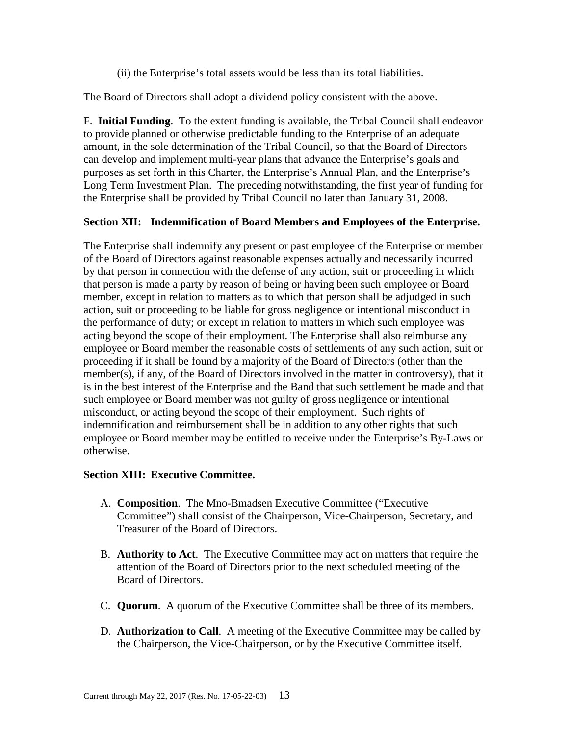(ii) the Enterprise's total assets would be less than its total liabilities.

The Board of Directors shall adopt a dividend policy consistent with the above.

F. **Initial Funding**. To the extent funding is available, the Tribal Council shall endeavor to provide planned or otherwise predictable funding to the Enterprise of an adequate amount, in the sole determination of the Tribal Council, so that the Board of Directors can develop and implement multi-year plans that advance the Enterprise's goals and purposes as set forth in this Charter, the Enterprise's Annual Plan, and the Enterprise's Long Term Investment Plan. The preceding notwithstanding, the first year of funding for the Enterprise shall be provided by Tribal Council no later than January 31, 2008.

# **Section XII: Indemnification of Board Members and Employees of the Enterprise.**

The Enterprise shall indemnify any present or past employee of the Enterprise or member of the Board of Directors against reasonable expenses actually and necessarily incurred by that person in connection with the defense of any action, suit or proceeding in which that person is made a party by reason of being or having been such employee or Board member, except in relation to matters as to which that person shall be adjudged in such action, suit or proceeding to be liable for gross negligence or intentional misconduct in the performance of duty; or except in relation to matters in which such employee was acting beyond the scope of their employment. The Enterprise shall also reimburse any employee or Board member the reasonable costs of settlements of any such action, suit or proceeding if it shall be found by a majority of the Board of Directors (other than the member(s), if any, of the Board of Directors involved in the matter in controversy), that it is in the best interest of the Enterprise and the Band that such settlement be made and that such employee or Board member was not guilty of gross negligence or intentional misconduct, or acting beyond the scope of their employment. Such rights of indemnification and reimbursement shall be in addition to any other rights that such employee or Board member may be entitled to receive under the Enterprise's By-Laws or otherwise.

# **Section XIII: Executive Committee.**

- A. **Composition**. The Mno-Bmadsen Executive Committee ("Executive Committee") shall consist of the Chairperson, Vice-Chairperson, Secretary, and Treasurer of the Board of Directors.
- B. **Authority to Act**. The Executive Committee may act on matters that require the attention of the Board of Directors prior to the next scheduled meeting of the Board of Directors.
- C. **Quorum**. A quorum of the Executive Committee shall be three of its members.
- D. **Authorization to Call**. A meeting of the Executive Committee may be called by the Chairperson, the Vice-Chairperson, or by the Executive Committee itself.